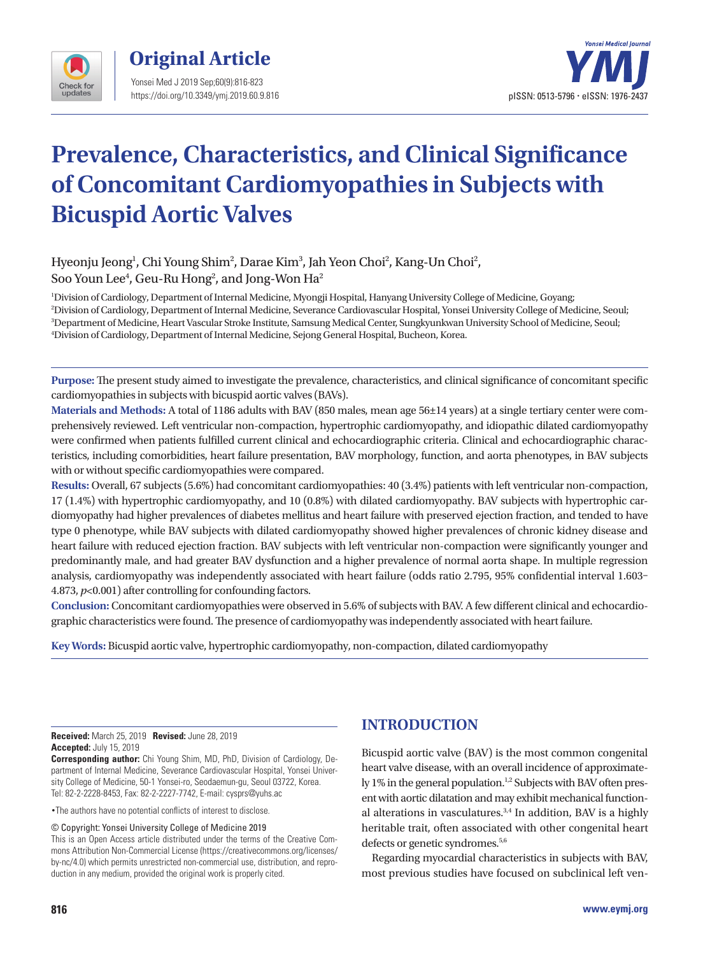



# **Prevalence, Characteristics, and Clinical Significance of Concomitant Cardiomyopathies in Subjects with Bicuspid Aortic Valves**

Hyeonju Jeong<sup>1</sup>, Chi Young Shim<sup>2</sup>, Darae Kim<sup>3</sup>, Jah Yeon Choi<sup>2</sup>, Kang-Un Choi<sup>2</sup>, Soo Youn Lee $^4$ , Geu-Ru Hong $^2$ , and Jong-Won Ha $^2$ 

 Division of Cardiology, Department of Internal Medicine, Myongji Hospital, Hanyang University College of Medicine, Goyang; Division of Cardiology, Department of Internal Medicine, Severance Cardiovascular Hospital, Yonsei University College of Medicine, Seoul; Department of Medicine, Heart Vascular Stroke Institute, Samsung Medical Center, Sungkyunkwan University School of Medicine, Seoul; Division of Cardiology, Department of Internal Medicine, Sejong General Hospital, Bucheon, Korea.

**Purpose:** The present study aimed to investigate the prevalence, characteristics, and clinical significance of concomitant specific cardiomyopathies in subjects with bicuspid aortic valves (BAVs).

**Materials and Methods:** A total of 1186 adults with BAV (850 males, mean age 56±14 years) at a single tertiary center were comprehensively reviewed. Left ventricular non-compaction, hypertrophic cardiomyopathy, and idiopathic dilated cardiomyopathy were confirmed when patients fulfilled current clinical and echocardiographic criteria. Clinical and echocardiographic characteristics, including comorbidities, heart failure presentation, BAV morphology, function, and aorta phenotypes, in BAV subjects with or without specific cardiomyopathies were compared.

**Results:** Overall, 67 subjects (5.6%) had concomitant cardiomyopathies: 40 (3.4%) patients with left ventricular non-compaction, 17 (1.4%) with hypertrophic cardiomyopathy, and 10 (0.8%) with dilated cardiomyopathy. BAV subjects with hypertrophic cardiomyopathy had higher prevalences of diabetes mellitus and heart failure with preserved ejection fraction, and tended to have type 0 phenotype, while BAV subjects with dilated cardiomyopathy showed higher prevalences of chronic kidney disease and heart failure with reduced ejection fraction. BAV subjects with left ventricular non-compaction were significantly younger and predominantly male, and had greater BAV dysfunction and a higher prevalence of normal aorta shape. In multiple regression analysis, cardiomyopathy was independently associated with heart failure (odds ratio 2.795, 95% confidential interval 1.603– 4.873, *p*<0.001) after controlling for confounding factors.

**Conclusion:** Concomitant cardiomyopathies were observed in 5.6% of subjects with BAV. A few different clinical and echocardiographic characteristics were found. The presence of cardiomyopathy was independently associated with heart failure.

**Key Words:** Bicuspid aortic valve, hypertrophic cardiomyopathy, non-compaction, dilated cardiomyopathy

**Received:** March 25, 2019 **Revised:** June 28, 2019 **Accepted:** July 15, 2019

**Corresponding author:** Chi Young Shim, MD, PhD, Division of Cardiology, Department of Internal Medicine, Severance Cardiovascular Hospital, Yonsei University College of Medicine, 50-1 Yonsei-ro, Seodaemun-gu, Seoul 03722, Korea. Tel: 82-2-2228-8453, Fax: 82-2-2227-7742, E-mail: cysprs@yuhs.ac

•The authors have no potential conflicts of interest to disclose.

© Copyright: Yonsei University College of Medicine 2019

This is an Open Access article distributed under the terms of the Creative Commons Attribution Non-Commercial License (https://creativecommons.org/licenses/ by-nc/4.0) which permits unrestricted non-commercial use, distribution, and reproduction in any medium, provided the original work is properly cited.

## **INTRODUCTION**

Bicuspid aortic valve (BAV) is the most common congenital heart valve disease, with an overall incidence of approximately 1% in the general population.<sup>1,2</sup> Subjects with BAV often present with aortic dilatation and may exhibit mechanical functional alterations in vasculatures.<sup>3,4</sup> In addition, BAV is a highly heritable trait, often associated with other congenital heart defects or genetic syndromes.<sup>5,6</sup>

Regarding myocardial characteristics in subjects with BAV, most previous studies have focused on subclinical left ven-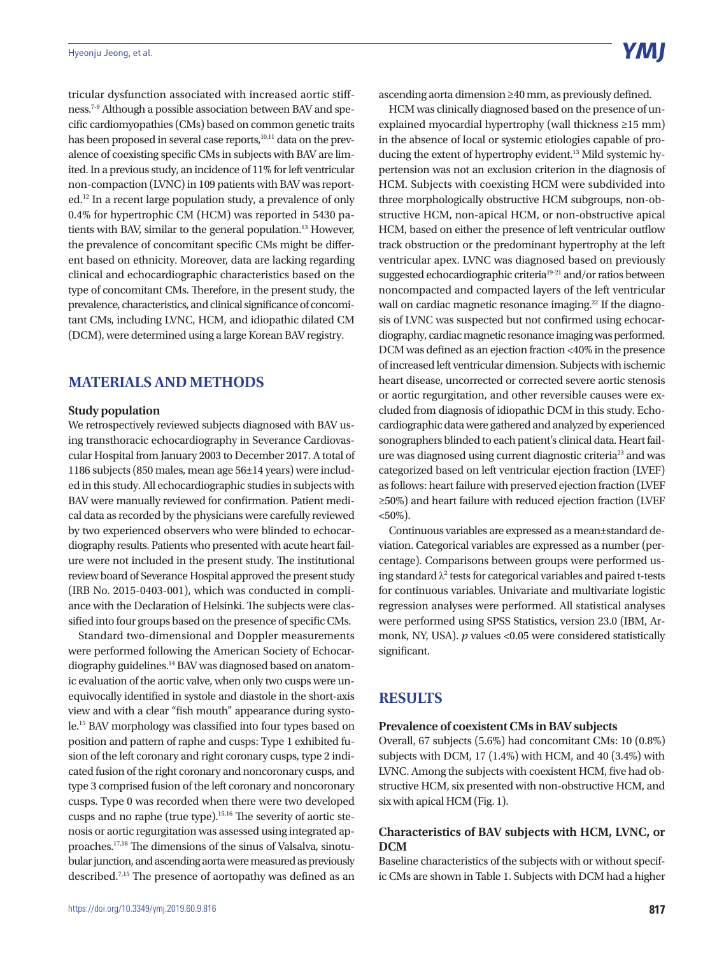tricular dysfunction associated with increased aortic stiffness.7-9 Although a possible association between BAV and specific cardiomyopathies (CMs) based on common genetic traits has been proposed in several case reports, $10,11$  data on the prevalence of coexisting specific CMs in subjects with BAV are limited. In a previous study, an incidence of 11% for left ventricular non-compaction (LVNC) in 109 patients with BAV was reported.12 In a recent large population study, a prevalence of only 0.4% for hypertrophic CM (HCM) was reported in 5430 patients with BAV, similar to the general population.<sup>13</sup> However, the prevalence of concomitant specific CMs might be different based on ethnicity. Moreover, data are lacking regarding clinical and echocardiographic characteristics based on the type of concomitant CMs. Therefore, in the present study, the prevalence, characteristics, and clinical significance of concomitant CMs, including LVNC, HCM, and idiopathic dilated CM (DCM), were determined using a large Korean BAV registry.

### **MATERIALS AND METHODS**

#### **Study population**

We retrospectively reviewed subjects diagnosed with BAV using transthoracic echocardiography in Severance Cardiovascular Hospital from January 2003 to December 2017. A total of 1186 subjects (850 males, mean age 56±14 years) were included in this study. All echocardiographic studies in subjects with BAV were manually reviewed for confirmation. Patient medical data as recorded by the physicians were carefully reviewed by two experienced observers who were blinded to echocardiography results. Patients who presented with acute heart failure were not included in the present study. The institutional review board of Severance Hospital approved the present study (IRB No. 2015-0403-001), which was conducted in compliance with the Declaration of Helsinki. The subjects were classified into four groups based on the presence of specific CMs.

Standard two-dimensional and Doppler measurements were performed following the American Society of Echocardiography guidelines.<sup>14</sup> BAV was diagnosed based on anatomic evaluation of the aortic valve, when only two cusps were unequivocally identified in systole and diastole in the short-axis view and with a clear "fish mouth" appearance during systole.15 BAV morphology was classified into four types based on position and pattern of raphe and cusps: Type 1 exhibited fusion of the left coronary and right coronary cusps, type 2 indicated fusion of the right coronary and noncoronary cusps, and type 3 comprised fusion of the left coronary and noncoronary cusps. Type 0 was recorded when there were two developed cusps and no raphe (true type).15,16 The severity of aortic stenosis or aortic regurgitation was assessed using integrated approaches.17,18 The dimensions of the sinus of Valsalva, sinotubular junction, and ascending aorta were measured as previously described.7,15 The presence of aortopathy was defined as an ascending aorta dimension ≥40 mm, as previously defined.

HCM was clinically diagnosed based on the presence of unexplained myocardial hypertrophy (wall thickness ≥15 mm) in the absence of local or systemic etiologies capable of producing the extent of hypertrophy evident.<sup>13</sup> Mild systemic hypertension was not an exclusion criterion in the diagnosis of HCM. Subjects with coexisting HCM were subdivided into three morphologically obstructive HCM subgroups, non-obstructive HCM, non-apical HCM, or non-obstructive apical HCM, based on either the presence of left ventricular outflow track obstruction or the predominant hypertrophy at the left ventricular apex. LVNC was diagnosed based on previously suggested echocardiographic criteria<sup>19-21</sup> and/or ratios between noncompacted and compacted layers of the left ventricular wall on cardiac magnetic resonance imaging.<sup>22</sup> If the diagnosis of LVNC was suspected but not confirmed using echocardiography, cardiac magnetic resonance imaging was performed. DCM was defined as an ejection fraction <40% in the presence of increased left ventricular dimension. Subjects with ischemic heart disease, uncorrected or corrected severe aortic stenosis or aortic regurgitation, and other reversible causes were excluded from diagnosis of idiopathic DCM in this study. Echocardiographic data were gathered and analyzed by experienced sonographers blinded to each patient's clinical data. Heart failure was diagnosed using current diagnostic criteria<sup>23</sup> and was categorized based on left ventricular ejection fraction (LVEF) as follows: heart failure with preserved ejection fraction (LVEF ≥50%) and heart failure with reduced ejection fraction (LVEF  $<$ 50%).

Continuous variables are expressed as a mean±standard deviation. Categorical variables are expressed as a number (percentage). Comparisons between groups were performed using standard  $\lambda^2$  tests for categorical variables and paired t-tests for continuous variables. Univariate and multivariate logistic regression analyses were performed. All statistical analyses were performed using SPSS Statistics, version 23.0 (IBM, Armonk, NY, USA). *p* values <0.05 were considered statistically significant.

### **RESULTS**

#### **Prevalence of coexistent CMs in BAV subjects**

Overall, 67 subjects (5.6%) had concomitant CMs: 10 (0.8%) subjects with DCM, 17 (1.4%) with HCM, and 40 (3.4%) with LVNC. Among the subjects with coexistent HCM, five had obstructive HCM, six presented with non-obstructive HCM, and six with apical HCM (Fig. 1).

### **Characteristics of BAV subjects with HCM, LVNC, or DCM**

Baseline characteristics of the subjects with or without specific CMs are shown in Table 1. Subjects with DCM had a higher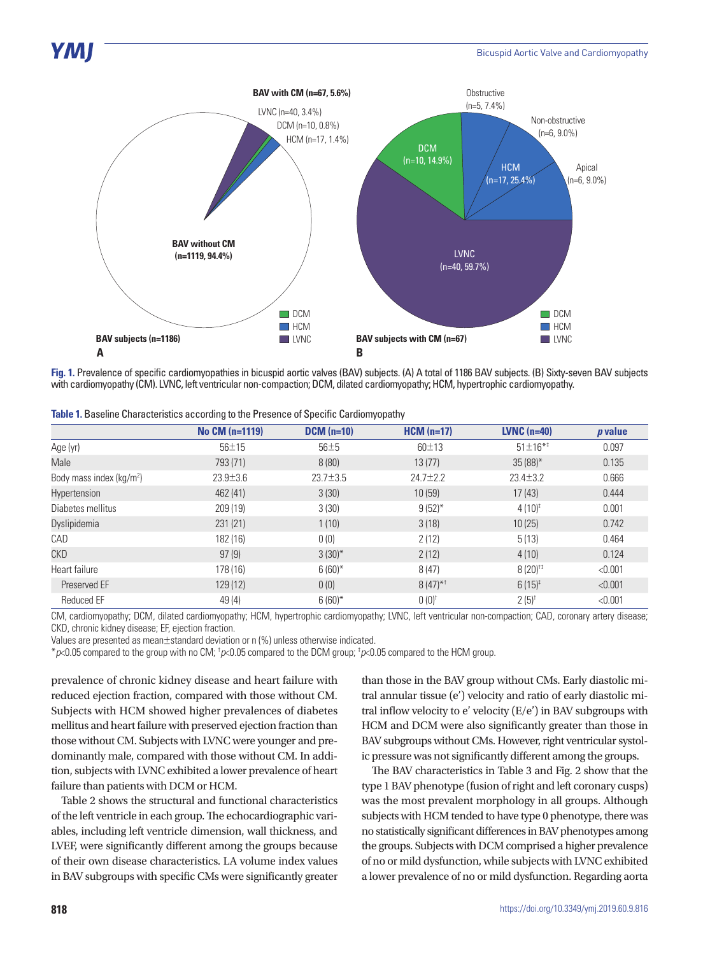

**Fig. 1.** Prevalence of specific cardiomyopathies in bicuspid aortic valves (BAV) subjects. (A) A total of 1186 BAV subjects. (B) Sixty-seven BAV subjects with cardiomyopathy (CM). LVNC, left ventricular non-compaction; DCM, dilated cardiomyopathy; HCM, hypertrophic cardiomyopathy.

| Table 1. Baseline Characteristics according to the Presence of Specific Cardiomyopathy |  |  |
|----------------------------------------------------------------------------------------|--|--|
|----------------------------------------------------------------------------------------|--|--|

|                                      | No CM (n=1119) | $DCM$ (n=10) | $HCM(n=17)$           | <b>LVNC</b> $(n=40)$  | <i>p</i> value |
|--------------------------------------|----------------|--------------|-----------------------|-----------------------|----------------|
| Age (yr)                             | $56 + 15$      | $56\pm5$     | $60 + 13$             | $51 \pm 16^{*1}$      | 0.097          |
| Male                                 | 793 (71)       | 8(80)        | 13(77)                | $35(88)$ *            | 0.135          |
| Body mass index (kg/m <sup>2</sup> ) | $23.9 \pm 3.6$ | $23.7 + 3.5$ | $24.7 + 2.2$          | $23.4 + 3.2$          | 0.666          |
| <b>Hypertension</b>                  | 462 (41)       | 3(30)        | 10(59)                | 17(43)                | 0.444          |
| Diabetes mellitus                    | 209 (19)       | 3(30)        | $9(52)$ *             | $4(10)^{\ddagger}$    | 0.001          |
| Dyslipidemia                         | 231(21)        | 1(10)        | 3(18)                 | 10(25)                | 0.742          |
| CAD                                  | 182 (16)       | 0(0)         | 2(12)                 | 5(13)                 | 0.464          |
| CKD                                  | 97(9)          | $3(30)^{*}$  | 2(12)                 | 4(10)                 | 0.124          |
| Heart failure                        | 178 (16)       | $6(60)$ *    | 8(47)                 | $8(20)$ <sup>tt</sup> | < 0.001        |
| Preserved EF                         | 129 (12)       | 0(0)         | $8(47)$ <sup>*1</sup> | $6(15)^{\ddagger}$    | < 0.001        |
| <b>Reduced EF</b>                    | 49 (4)         | $6(60)$ *    | $0(0)^{t}$            | $2(5)^{t}$            | < 0.001        |

CM, cardiomyopathy; DCM, dilated cardiomyopathy; HCM, hypertrophic cardiomyopathy; LVNC, left ventricular non-compaction; CAD, coronary artery disease; CKD, chronic kidney disease; EF, ejection fraction.

Values are presented as mean±standard deviation or n (%) unless otherwise indicated.

\**p*<0.05 compared to the group with no CM; † *p*<0.05 compared to the DCM group; ‡ *p*<0.05 compared to the HCM group.

prevalence of chronic kidney disease and heart failure with reduced ejection fraction, compared with those without CM. Subjects with HCM showed higher prevalences of diabetes mellitus and heart failure with preserved ejection fraction than those without CM. Subjects with LVNC were younger and predominantly male, compared with those without CM. In addition, subjects with LVNC exhibited a lower prevalence of heart failure than patients with DCM or HCM.

Table 2 shows the structural and functional characteristics of the left ventricle in each group. The echocardiographic variables, including left ventricle dimension, wall thickness, and LVEF, were significantly different among the groups because of their own disease characteristics. LA volume index values in BAV subgroups with specific CMs were significantly greater

than those in the BAV group without CMs. Early diastolic mitral annular tissue (e') velocity and ratio of early diastolic mitral inflow velocity to e' velocity (E/e') in BAV subgroups with HCM and DCM were also significantly greater than those in BAV subgroups without CMs. However, right ventricular systolic pressure was not significantly different among the groups.

The BAV characteristics in Table 3 and Fig. 2 show that the type 1 BAV phenotype (fusion of right and left coronary cusps) was the most prevalent morphology in all groups. Although subjects with HCM tended to have type 0 phenotype, there was no statistically significant differences in BAV phenotypes among the groups. Subjects with DCM comprised a higher prevalence of no or mild dysfunction, while subjects with LVNC exhibited a lower prevalence of no or mild dysfunction. Regarding aorta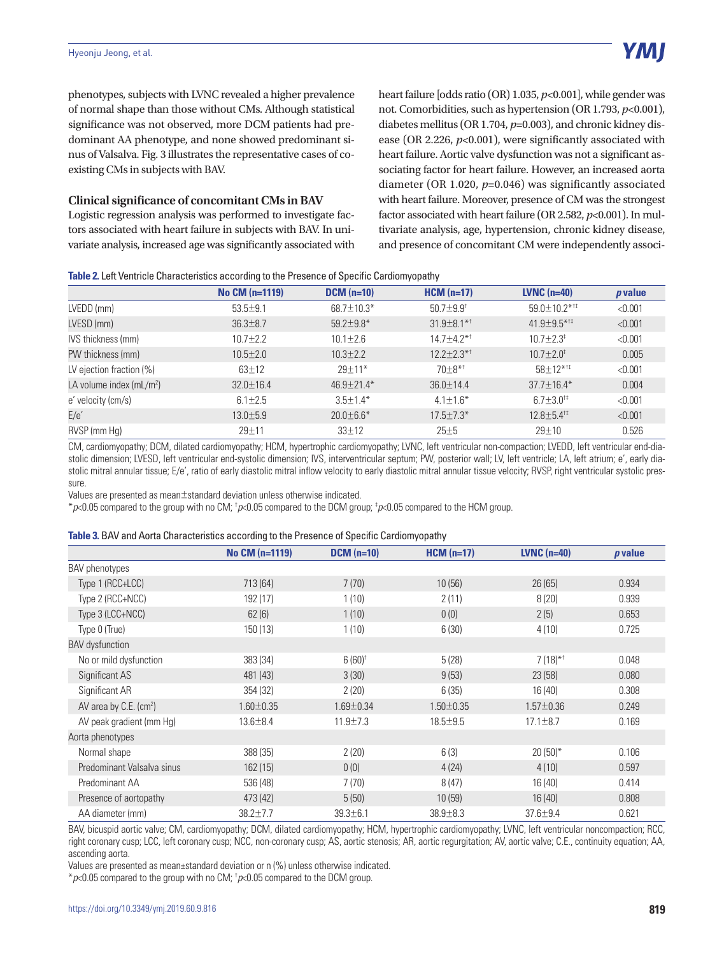phenotypes, subjects with LVNC revealed a higher prevalence of normal shape than those without CMs. Although statistical significance was not observed, more DCM patients had predominant AA phenotype, and none showed predominant sinus of Valsalva. Fig. 3 illustrates the representative cases of coexisting CMs in subjects with BAV.

#### **Clinical significance of concomitant CMs in BAV**

Logistic regression analysis was performed to investigate factors associated with heart failure in subjects with BAV. In univariate analysis, increased age was significantly associated with heart failure [odds ratio (OR) 1.035, *p*<0.001], while gender was not. Comorbidities, such as hypertension (OR 1.793, *p*<0.001), diabetes mellitus (OR 1.704, *p*=0.003), and chronic kidney disease (OR 2.226, *p*<0.001), were significantly associated with heart failure. Aortic valve dysfunction was not a significant associating factor for heart failure. However, an increased aorta diameter (OR 1.020, *p*=0.046) was significantly associated with heart failure. Moreover, presence of CM was the strongest factor associated with heart failure (OR 2.582, *p*<0.001). In multivariate analysis, age, hypertension, chronic kidney disease, and presence of concomitant CM were independently associ-

| Table 2. Left Ventricle Characteristics according to the Presence of Specific Cardiomyopathy |  |  |  |
|----------------------------------------------------------------------------------------------|--|--|--|
|                                                                                              |  |  |  |

| No CM (n=1119)  | $DCM$ (n=10)     | $HCM(n=17)$                   | <b>LVNC</b> $(n=40)$            | <i>p</i> value |
|-----------------|------------------|-------------------------------|---------------------------------|----------------|
| $53.5 \pm 9.1$  | 68.7±10.3*       | $50.7 \pm 9.9$ <sup>t</sup>   | $59.0 \pm 10.2$ * <sup>1‡</sup> | < 0.001        |
| $36.3 \pm 8.7$  | $59.2 \pm 9.8$ * | $31.9 \pm 8.1$ * <sup>†</sup> | $41.9 \pm 9.5$ * <sup>††</sup>  | < 0.001        |
| $10.7 + 2.2$    | $10.1 \pm 2.6$   | $14.7 \pm 4.2$ * <sup>†</sup> | $10.7 \pm 2.3^{\ddagger}$       | < 0.001        |
| $10.5 \pm 2.0$  | $10.3 \pm 2.2$   | $12.2 \pm 2.3$ * <sup>†</sup> | $10.7 \pm 2.0^{\ddagger}$       | 0.005          |
| $63 \pm 12$     | $29 \pm 11*$     | $70+8**$                      | $58 \pm 12^{*11}$               | < 0.001        |
| $32.0 \pm 16.4$ | 46.9±21.4*       | $36.0 \pm 14.4$               | $37.7 \pm 16.4*$                | 0.004          |
| $6.1 \pm 2.5$   | $3.5 \pm 1.4*$   | $4.1 \pm 1.6^*$               | $6.7 \pm 3.0^{1}$               | < 0.001        |
| $13.0 \pm 5.9$  | $20.0 \pm 6.6*$  | $17.5 \pm 7.3*$               | $12.8 \pm 5.4$ <sup>t‡</sup>    | < 0.001        |
| 29±11           | $33 \pm 12$      | 25±5                          | 29±10                           | 0.526          |
|                 |                  |                               |                                 |                |

CM, cardiomyopathy; DCM, dilated cardiomyopathy; HCM, hypertrophic cardiomyopathy; LVNC, left ventricular non-compaction; LVEDD, left ventricular end-diastolic dimension; LVESD, left ventricular end-systolic dimension; IVS, interventricular septum; PW, posterior wall; LV, left ventricle; LA, left atrium; e', early diastolic mitral annular tissue; E/e', ratio of early diastolic mitral inflow velocity to early diastolic mitral annular tissue velocity; RVSP, right ventricular systolic pressure.

Values are presented as mean±standard deviation unless otherwise indicated.

\**p*<0.05 compared to the group with no CM; † *p*<0.05 compared to the DCM group; ‡ *p*<0.05 compared to the HCM group.

#### **Table 3.** BAV and Aorta Characteristics according to the Presence of Specific Cardiomyopathy

|                                      | No CM (n=1119)  | $DCM$ (n=10)    | $HCM(n=17)$     | $LVNC$ (n=40)         | <i>p</i> value |
|--------------------------------------|-----------------|-----------------|-----------------|-----------------------|----------------|
| <b>BAV</b> phenotypes                |                 |                 |                 |                       |                |
| Type 1 (RCC+LCC)                     | 713 (64)        | 7(70)           | 10(56)          | 26(65)                | 0.934          |
| Type 2 (RCC+NCC)                     | 192 (17)        | 1(10)           | 2(11)           | 8(20)                 | 0.939          |
| Type 3 (LCC+NCC)                     | 62(6)           | 1(10)           | 0(0)            | 2(5)                  | 0.653          |
| Type 0 (True)                        | 150 (13)        | 1(10)           | 6(30)           | 4(10)                 | 0.725          |
| <b>BAV</b> dysfunction               |                 |                 |                 |                       |                |
| No or mild dysfunction               | 383 (34)        | $6(60)^+$       | 5(28)           | $7(18)$ <sup>*†</sup> | 0.048          |
| Significant AS                       | 481 (43)        | 3(30)           | 9(53)           | 23(58)                | 0.080          |
| Significant AR                       | 354 (32)        | 2(20)           | 6(35)           | 16(40)                | 0.308          |
| AV area by $C.E.$ (cm <sup>2</sup> ) | $1.60 \pm 0.35$ | $1.69 \pm 0.34$ | $1.50 \pm 0.35$ | $1.57 \pm 0.36$       | 0.249          |
| AV peak gradient (mm Hg)             | $13.6 \pm 8.4$  | $11.9 \pm 7.3$  | $18.5 \pm 9.5$  | $17.1 \pm 8.7$        | 0.169          |
| Aorta phenotypes                     |                 |                 |                 |                       |                |
| Normal shape                         | 388 (35)        | 2(20)           | 6(3)            | $20(50)*$             | 0.106          |
| Predominant Valsalva sinus           | 162(15)         | 0(0)            | 4(24)           | 4(10)                 | 0.597          |
| Predominant AA                       | 536 (48)        | 7(70)           | 8(47)           | 16(40)                | 0.414          |
| Presence of aortopathy               | 473 (42)        | 5(50)           | 10(59)          | 16(40)                | 0.808          |
| AA diameter (mm)                     | $38.2 \pm 7.7$  | $39.3 \pm 6.1$  | 38.9±8.3        | $37.6 \pm 9.4$        | 0.621          |

BAV, bicuspid aortic valve; CM, cardiomyopathy; DCM, dilated cardiomyopathy; HCM, hypertrophic cardiomyopathy; LVNC, left ventricular noncompaction; RCC, right coronary cusp; LCC, left coronary cusp; NCC, non-coronary cusp; AS, aortic stenosis; AR, aortic regurgitation; AV, aortic valve; C.E., continuity equation; AA, ascending aorta.

Values are presented as mean±standard deviation or n (%) unless otherwise indicated.

\**p*<0.05 compared to the group with no CM; † *p*<0.05 compared to the DCM group.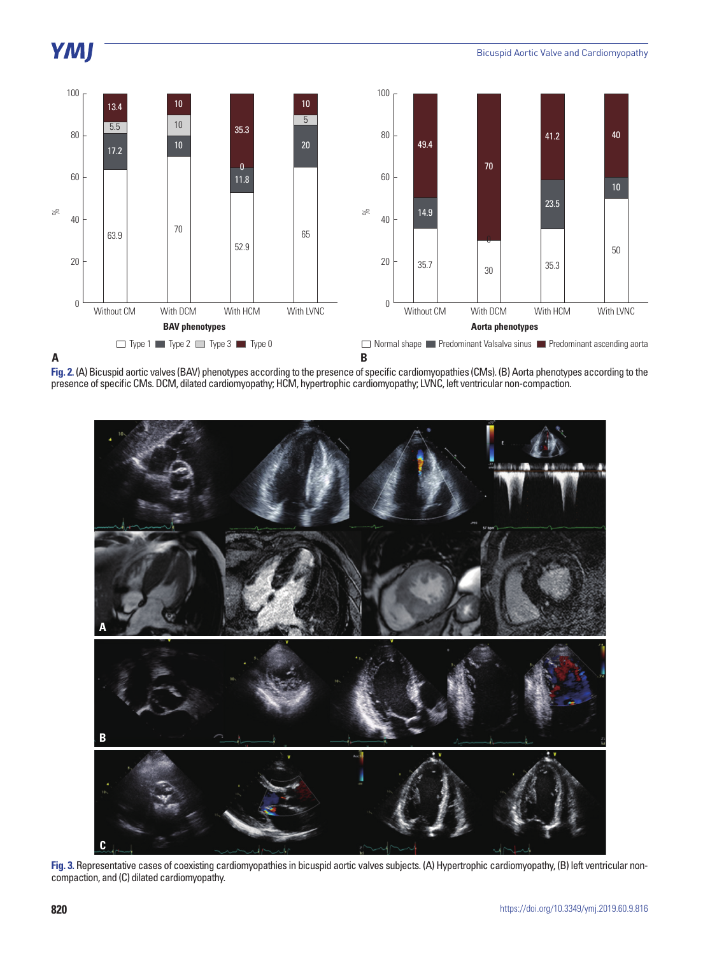# YMJ



**Fig. 2.** (A) Bicuspid aortic valves (BAV) phenotypes according to the presence of specific cardiomyopathies (CMs). (B) Aorta phenotypes according to the presence of specific CMs. DCM, dilated cardiomyopathy; HCM, hypertrophic cardiomyopathy; LVNC, left ventricular non-compaction.



**Fig. 3.** Representative cases of coexisting cardiomyopathies in bicuspid aortic valves subjects. (A) Hypertrophic cardiomyopathy, (B) left ventricular noncompaction, and (C) dilated cardiomyopathy.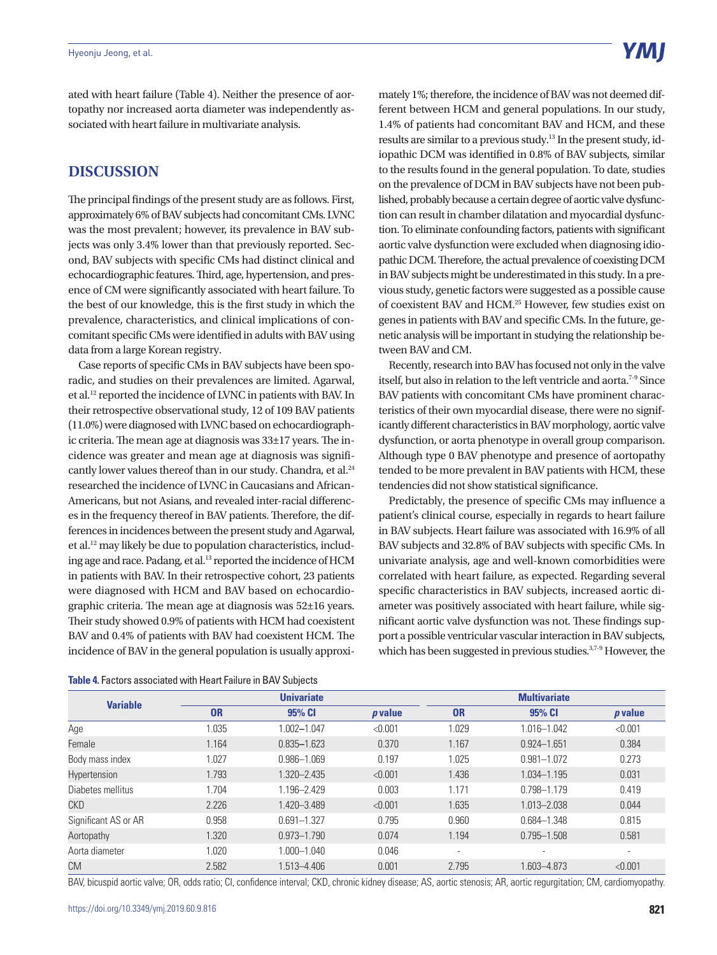ated with heart failure (Table 4). Neither the presence of aortopathy nor increased aorta diameter was independently associated with heart failure in multivariate analysis.

## **DISCUSSION**

The principal findings of the present study are as follows. First, approximately 6% of BAV subjects had concomitant CMs. LVNC was the most prevalent; however, its prevalence in BAV subjects was only 3.4% lower than that previously reported. Second, BAV subjects with specific CMs had distinct clinical and echocardiographic features. Third, age, hypertension, and presence of CM were significantly associated with heart failure. To the best of our knowledge, this is the first study in which the prevalence, characteristics, and clinical implications of concomitant specific CMs were identified in adults with BAV using data from a large Korean registry.

Case reports of specific CMs in BAV subjects have been sporadic, and studies on their prevalences are limited. Agarwal, et al.12 reported the incidence of LVNC in patients with BAV. In their retrospective observational study, 12 of 109 BAV patients (11.0%) were diagnosed with LVNC based on echocardiographic criteria. The mean age at diagnosis was 33±17 years. The incidence was greater and mean age at diagnosis was significantly lower values thereof than in our study. Chandra, et al.<sup>24</sup> researched the incidence of LVNC in Caucasians and African-Americans, but not Asians, and revealed inter-racial differences in the frequency thereof in BAV patients. Therefore, the differences in incidences between the present study and Agarwal, et al.12 may likely be due to population characteristics, including age and race. Padang, et al.13 reported the incidence of HCM in patients with BAV. In their retrospective cohort, 23 patients were diagnosed with HCM and BAV based on echocardiographic criteria. The mean age at diagnosis was 52±16 years. Their study showed 0.9% of patients with HCM had coexistent BAV and 0.4% of patients with BAV had coexistent HCM. The incidence of BAV in the general population is usually approxi-

| <b>Table 4.</b> Factors associated with Heart Failure in BAV Subjects |  |  |
|-----------------------------------------------------------------------|--|--|
|-----------------------------------------------------------------------|--|--|

mately 1%; therefore, the incidence of BAV was not deemed different between HCM and general populations. In our study, 1.4% of patients had concomitant BAV and HCM, and these results are similar to a previous study.<sup>13</sup> In the present study, idiopathic DCM was identified in 0.8% of BAV subjects, similar to the results found in the general population. To date, studies on the prevalence of DCM in BAV subjects have not been published, probably because a certain degree of aortic valve dysfunction can result in chamber dilatation and myocardial dysfunction. To eliminate confounding factors, patients with significant aortic valve dysfunction were excluded when diagnosing idiopathic DCM. Therefore, the actual prevalence of coexisting DCM in BAV subjects might be underestimated in this study. In a previous study, genetic factors were suggested as a possible cause of coexistent BAV and HCM.25 However, few studies exist on genes in patients with BAV and specific CMs. In the future, genetic analysis will be important in studying the relationship between BAV and CM.

Recently, research into BAV has focused not only in the valve itself, but also in relation to the left ventricle and aorta.<sup>7-9</sup> Since BAV patients with concomitant CMs have prominent characteristics of their own myocardial disease, there were no significantly different characteristics in BAV morphology, aortic valve dysfunction, or aorta phenotype in overall group comparison. Although type 0 BAV phenotype and presence of aortopathy tended to be more prevalent in BAV patients with HCM, these tendencies did not show statistical significance.

Predictably, the presence of specific CMs may influence a patient's clinical course, especially in regards to heart failure in BAV subjects. Heart failure was associated with 16.9% of all BAV subjects and 32.8% of BAV subjects with specific CMs. In univariate analysis, age and well-known comorbidities were correlated with heart failure, as expected. Regarding several specific characteristics in BAV subjects, increased aortic diameter was positively associated with heart failure, while significant aortic valve dysfunction was not. These findings support a possible ventricular vascular interaction in BAV subjects, which has been suggested in previous studies.<sup>3,7-9</sup> However, the

| <b>Variable</b>      |           | <b>Univariate</b> |                |           | <b>Multivariate</b>      |                          |  |
|----------------------|-----------|-------------------|----------------|-----------|--------------------------|--------------------------|--|
|                      | <b>OR</b> | 95% CI            | <i>p</i> value | <b>OR</b> | 95% CI                   | $p$ value                |  |
| Age                  | 1.035     | 1.002-1.047       | < 0.001        | 1.029     | 1.016-1.042              | < 0.001                  |  |
| Female               | 1.164     | $0.835 - 1.623$   | 0.370          | 1.167     | $0.924 - 1.651$          | 0.384                    |  |
| Body mass index      | 1.027     | $0.986 - 1.069$   | 0.197          | 1.025     | $0.981 - 1.072$          | 0.273                    |  |
| Hypertension         | 1.793     | 1.320-2.435       | < 0.001        | 1.436     | 1.034-1.195              | 0.031                    |  |
| Diabetes mellitus    | 1.704     | 1.196-2.429       | 0.003          | 1.171     | 0.798-1.179              | 0.419                    |  |
| CKD                  | 2.226     | 1.420 - 3.489     | < 0.001        | 1.635     | 1.013-2.038              | 0.044                    |  |
| Significant AS or AR | 0.958     | $0.691 - 1.327$   | 0.795          | 0.960     | 0.684-1.348              | 0.815                    |  |
| Aortopathy           | 1.320     | $0.973 - 1.790$   | 0.074          | 1.194     | $0.795 - 1.508$          | 0.581                    |  |
| Aorta diameter       | 1.020     | $1.000 - 1.040$   | 0.046          | ٠         | $\overline{\phantom{a}}$ | $\overline{\phantom{a}}$ |  |
| CM                   | 2.582     | 1.513-4.406       | 0.001          | 2.795     | 1.603-4.873              | < 0.001                  |  |

BAV, bicuspid aortic valve; OR, odds ratio; CI, confidence interval; CKD, chronic kidney disease; AS, aortic stenosis; AR, aortic regurgitation; CM, cardiomyopathy.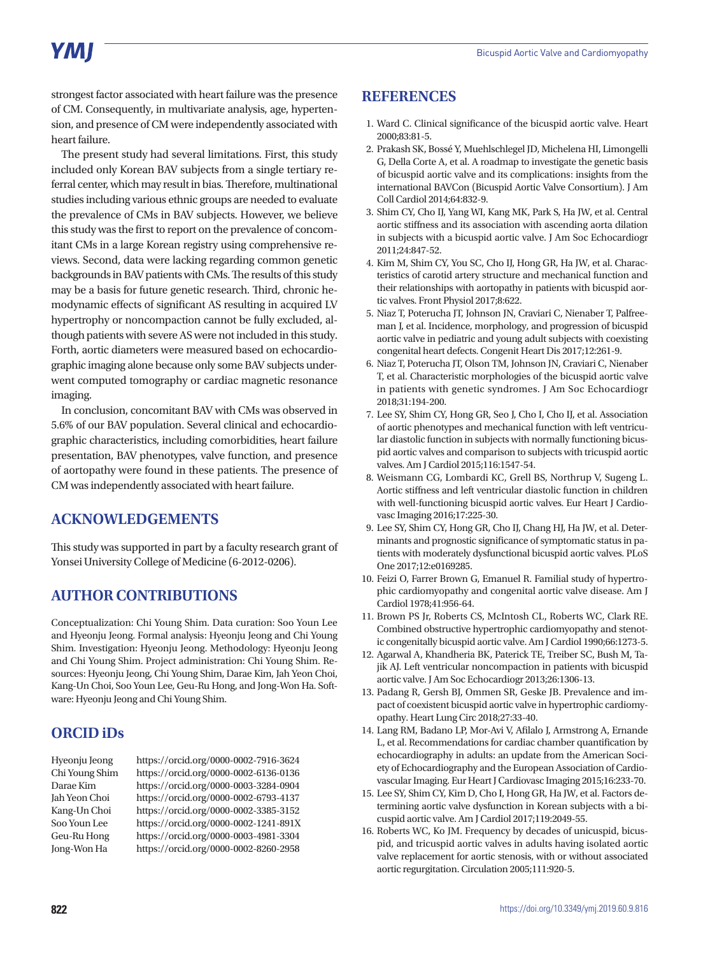# **YMI**

strongest factor associated with heart failure was the presence of CM. Consequently, in multivariate analysis, age, hypertension, and presence of CM were independently associated with heart failure.

The present study had several limitations. First, this study included only Korean BAV subjects from a single tertiary referral center, which may result in bias. Therefore, multinational studies including various ethnic groups are needed to evaluate the prevalence of CMs in BAV subjects. However, we believe this study was the first to report on the prevalence of concomitant CMs in a large Korean registry using comprehensive reviews. Second, data were lacking regarding common genetic backgrounds in BAV patients with CMs. The results of this study may be a basis for future genetic research. Third, chronic hemodynamic effects of significant AS resulting in acquired LV hypertrophy or noncompaction cannot be fully excluded, although patients with severe AS were not included in this study. Forth, aortic diameters were measured based on echocardiographic imaging alone because only some BAV subjects underwent computed tomography or cardiac magnetic resonance imaging.

In conclusion, concomitant BAV with CMs was observed in 5.6% of our BAV population. Several clinical and echocardiographic characteristics, including comorbidities, heart failure presentation, BAV phenotypes, valve function, and presence of aortopathy were found in these patients. The presence of CM was independently associated with heart failure.

## **ACKNOWLEDGEMENTS**

This study was supported in part by a faculty research grant of Yonsei University College of Medicine (6-2012-0206).

# **AUTHOR CONTRIBUTIONS**

Conceptualization: Chi Young Shim. Data curation: Soo Youn Lee and Hyeonju Jeong. Formal analysis: Hyeonju Jeong and Chi Young Shim. Investigation: Hyeonju Jeong. Methodology: Hyeonju Jeong and Chi Young Shim. Project administration: Chi Young Shim. Resources: Hyeonju Jeong, Chi Young Shim, Darae Kim, Jah Yeon Choi, Kang-Un Choi, Soo Youn Lee, Geu-Ru Hong, and Jong-Won Ha. Software: Hyeonju Jeong and Chi Young Shim.

## **ORCID iDs**

Hyeonju Jeong https://orcid.org/0000-0002-7916-3624 Chi Young Shim https://orcid.org/0000-0002-6136-0136 Darae Kim https://orcid.org/0000-0003-3284-0904 Jah Yeon Choi https://orcid.org/0000-0002-6793-4137 Kang-Un Choi https://orcid.org/0000-0002-3385-3152 Soo Youn Lee https://orcid.org/0000-0002-1241-891X Geu-Ru Hong https://orcid.org/0000-0003-4981-3304 Jong-Won Ha https://orcid.org/0000-0002-8260-2958

## **REFERENCES**

- 1. Ward C. Clinical significance of the bicuspid aortic valve. Heart 2000;83:81-5.
- 2. Prakash SK, Bossé Y, Muehlschlegel JD, Michelena HI, Limongelli G, Della Corte A, et al. A roadmap to investigate the genetic basis of bicuspid aortic valve and its complications: insights from the international BAVCon (Bicuspid Aortic Valve Consortium). J Am Coll Cardiol 2014;64:832-9.
- 3. Shim CY, Cho IJ, Yang WI, Kang MK, Park S, Ha JW, et al. Central aortic stiffness and its association with ascending aorta dilation in subjects with a bicuspid aortic valve. J Am Soc Echocardiogr 2011;24:847-52.
- 4. Kim M, Shim CY, You SC, Cho IJ, Hong GR, Ha JW, et al. Characteristics of carotid artery structure and mechanical function and their relationships with aortopathy in patients with bicuspid aortic valves. Front Physiol 2017;8:622.
- 5. Niaz T, Poterucha JT, Johnson JN, Craviari C, Nienaber T, Palfreeman J, et al. Incidence, morphology, and progression of bicuspid aortic valve in pediatric and young adult subjects with coexisting congenital heart defects. Congenit Heart Dis 2017;12:261-9.
- 6. Niaz T, Poterucha JT, Olson TM, Johnson JN, Craviari C, Nienaber T, et al. Characteristic morphologies of the bicuspid aortic valve in patients with genetic syndromes. J Am Soc Echocardiogr 2018;31:194-200.
- 7. Lee SY, Shim CY, Hong GR, Seo J, Cho I, Cho IJ, et al. Association of aortic phenotypes and mechanical function with left ventricular diastolic function in subjects with normally functioning bicuspid aortic valves and comparison to subjects with tricuspid aortic valves. Am J Cardiol 2015;116:1547-54.
- 8. Weismann CG, Lombardi KC, Grell BS, Northrup V, Sugeng L. Aortic stiffness and left ventricular diastolic function in children with well-functioning bicuspid aortic valves. Eur Heart J Cardiovasc Imaging 2016;17:225-30.
- 9. Lee SY, Shim CY, Hong GR, Cho IJ, Chang HJ, Ha JW, et al. Determinants and prognostic significance of symptomatic status in patients with moderately dysfunctional bicuspid aortic valves. PLoS One 2017;12:e0169285.
- 10. Feizi O, Farrer Brown G, Emanuel R. Familial study of hypertrophic cardiomyopathy and congenital aortic valve disease. Am J Cardiol 1978;41:956-64.
- 11. Brown PS Jr, Roberts CS, McIntosh CL, Roberts WC, Clark RE. Combined obstructive hypertrophic cardiomyopathy and stenotic congenitally bicuspid aortic valve. Am J Cardiol 1990;66:1273-5.
- 12. Agarwal A, Khandheria BK, Paterick TE, Treiber SC, Bush M, Tajik AJ. Left ventricular noncompaction in patients with bicuspid aortic valve. J Am Soc Echocardiogr 2013;26:1306-13.
- 13. Padang R, Gersh BJ, Ommen SR, Geske JB. Prevalence and impact of coexistent bicuspid aortic valve in hypertrophic cardiomyopathy. Heart Lung Circ 2018;27:33-40.
- 14. Lang RM, Badano LP, Mor-Avi V, Afilalo J, Armstrong A, Ernande L, et al. Recommendations for cardiac chamber quantification by echocardiography in adults: an update from the American Society of Echocardiography and the European Association of Cardiovascular Imaging. Eur Heart J Cardiovasc Imaging 2015;16:233-70.
- 15. Lee SY, Shim CY, Kim D, Cho I, Hong GR, Ha JW, et al. Factors determining aortic valve dysfunction in Korean subjects with a bicuspid aortic valve. Am J Cardiol 2017;119:2049-55.
- 16. Roberts WC, Ko JM. Frequency by decades of unicuspid, bicuspid, and tricuspid aortic valves in adults having isolated aortic valve replacement for aortic stenosis, with or without associated aortic regurgitation. Circulation 2005;111:920-5.